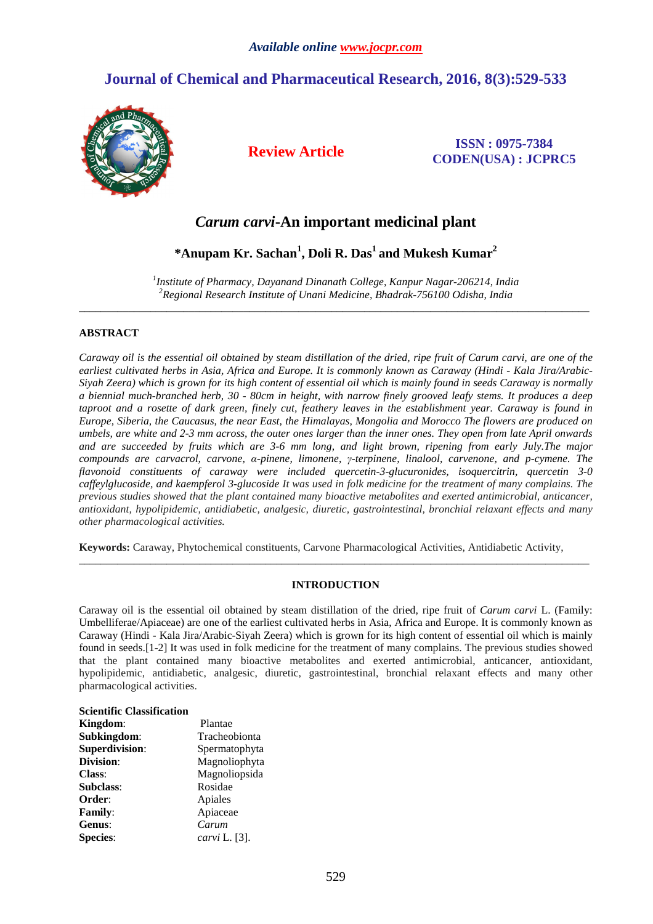# **Journal of Chemical and Pharmaceutical Research, 2016, 8(3):529-533**



**Review Article ISSN : 0975-7384 CODEN(USA) : JCPRC5**

# *Carum carvi***-An important medicinal plant**

# **\*Anupam Kr. Sachan<sup>1</sup> , Doli R. Das<sup>1</sup>and Mukesh Kumar<sup>2</sup>**

*1 Institute of Pharmacy, Dayanand Dinanath College, Kanpur Nagar-206214, India <sup>2</sup>Regional Research Institute of Unani Medicine, Bhadrak-756100 Odisha, India*  \_\_\_\_\_\_\_\_\_\_\_\_\_\_\_\_\_\_\_\_\_\_\_\_\_\_\_\_\_\_\_\_\_\_\_\_\_\_\_\_\_\_\_\_\_\_\_\_\_\_\_\_\_\_\_\_\_\_\_\_\_\_\_\_\_\_\_\_\_\_\_\_\_\_\_\_\_\_\_\_\_\_\_\_\_\_\_\_\_\_\_\_\_

# **ABSTRACT**

*Caraway oil is the essential oil obtained by steam distillation of the dried, ripe fruit of Carum carvi, are one of the earliest cultivated herbs in Asia, Africa and Europe. It is commonly known as Caraway (Hindi - Kala Jira/Arabic-Siyah Zeera) which is grown for its high content of essential oil which is mainly found in seeds Caraway is normally a biennial much-branched herb, 30 - 80cm in height, with narrow finely grooved leafy stems. It produces a deep taproot and a rosette of dark green, finely cut, feathery leaves in the establishment year. Caraway is found in Europe, Siberia, the Caucasus, the near East, the Himalayas, Mongolia and Morocco The flowers are produced on umbels, are white and 2-3 mm across, the outer ones larger than the inner ones. They open from late April onwards and are succeeded by fruits which are 3-6 mm long, and light brown, ripening from early July.The major compounds are carvacrol, carvone, α-pinene, limonene, γ-terpinene, linalool, carvenone, and p-cymene. The flavonoid constituents of caraway were included quercetin-3-glucuronides, isoquercitrin, quercetin 3-0 caffeylglucoside, and kaempferol 3-glucoside It was used in folk medicine for the treatment of many complains. The previous studies showed that the plant contained many bioactive metabolites and exerted antimicrobial, anticancer, antioxidant, hypolipidemic, antidiabetic, analgesic, diuretic, gastrointestinal, bronchial relaxant effects and many other pharmacological activities.* 

**Keywords:** Caraway, Phytochemical constituents, Carvone Pharmacological Activities, Antidiabetic Activity,

# **INTRODUCTION**

\_\_\_\_\_\_\_\_\_\_\_\_\_\_\_\_\_\_\_\_\_\_\_\_\_\_\_\_\_\_\_\_\_\_\_\_\_\_\_\_\_\_\_\_\_\_\_\_\_\_\_\_\_\_\_\_\_\_\_\_\_\_\_\_\_\_\_\_\_\_\_\_\_\_\_\_\_\_\_\_\_\_\_\_\_\_\_\_\_\_\_\_\_

Caraway oil is the essential oil obtained by steam distillation of the dried, ripe fruit of *Carum carvi* L. (Family: Umbelliferae/Apiaceae) are one of the earliest cultivated herbs in Asia, Africa and Europe. It is commonly known as Caraway (Hindi - Kala Jira/Arabic-Siyah Zeera) which is grown for its high content of essential oil which is mainly found in seeds.[1-2] It was used in folk medicine for the treatment of many complains. The previous studies showed that the plant contained many bioactive metabolites and exerted antimicrobial, anticancer, antioxidant, hypolipidemic, antidiabetic, analgesic, diuretic, gastrointestinal, bronchial relaxant effects and many other pharmacological activities.

#### **Scientific Classification**

| Kingdom:        | Plantae              |
|-----------------|----------------------|
| Subkingdom:     | Tracheobionta        |
| Superdivision:  | Spermatophyta        |
| Division:       | Magnoliophyta        |
| Class:          | Magnoliopsida        |
| Subclass:       | Rosidae              |
| Order:          | Apiales              |
| <b>Family:</b>  | Apiaceae             |
| Genus:          | Carum                |
| <b>Species:</b> | <i>carvi</i> L. [3]. |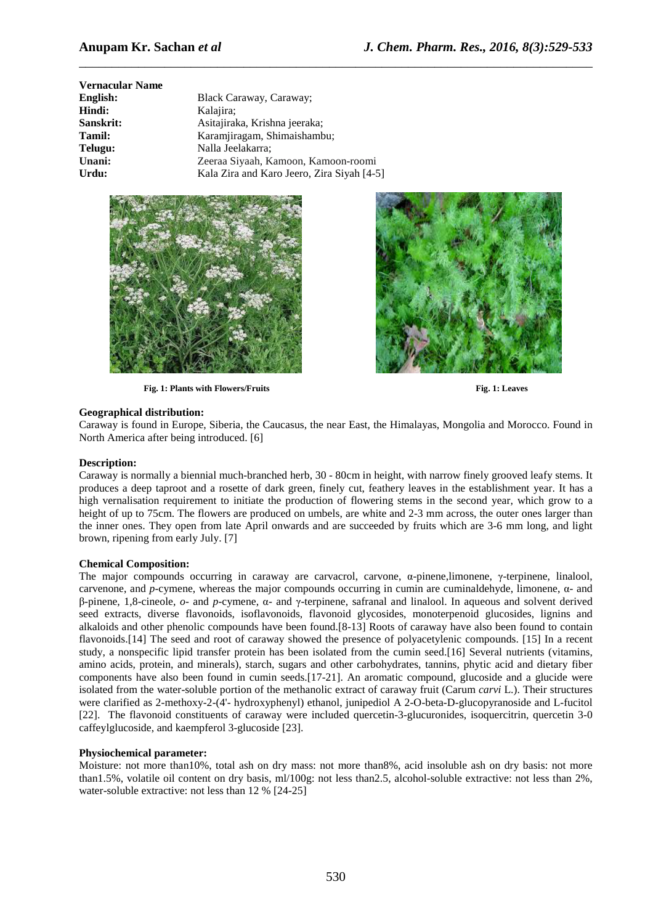**Vernacular Name Hindi:** Kalajira; **Telugu:** Nalla Jeelakarra;

**English:** Black Caraway, Caraway; Sanskrit: Asitajiraka, Krishna jeeraka; **Tamil: Karamiiragam, Shimaishambu; Unani:** Zeeraa Siyaah, Kamoon, Kamoon-roomi **Urdu:** Kala Zira and Karo Jeero, Zira Siyah [4-5]

\_\_\_\_\_\_\_\_\_\_\_\_\_\_\_\_\_\_\_\_\_\_\_\_\_\_\_\_\_\_\_\_\_\_\_\_\_\_\_\_\_\_\_\_\_\_\_\_\_\_\_\_\_\_\_\_\_\_\_\_\_\_\_\_\_\_\_\_\_\_\_\_\_\_\_\_\_\_





**Fig. 1: Plants with Flowers/Fruits** Fig. 1: Leaves

# **Geographical distribution:**

Caraway is found in Europe, Siberia, the Caucasus, the near East, the Himalayas, Mongolia and Morocco. Found in North America after being introduced. [6]

# **Description:**

Caraway is normally a biennial much-branched herb, 30 - 80cm in height, with narrow finely grooved leafy stems. It produces a deep taproot and a rosette of dark green, finely cut, feathery leaves in the establishment year. It has a high vernalisation requirement to initiate the production of flowering stems in the second year, which grow to a height of up to 75cm. The flowers are produced on umbels, are white and 2-3 mm across, the outer ones larger than the inner ones. They open from late April onwards and are succeeded by fruits which are 3-6 mm long, and light brown, ripening from early July. [7]

# **Chemical Composition:**

The major compounds occurring in caraway are carvacrol, carvone, α-pinene,limonene, γ-terpinene, linalool, carvenone, and *p*-cymene, whereas the major compounds occurring in cumin are cuminaldehyde, limonene, α- and β-pinene, 1,8-cineole, *o*- and *p*-cymene, α- and γ-terpinene, safranal and linalool. In aqueous and solvent derived seed extracts, diverse flavonoids, isoflavonoids, flavonoid glycosides, monoterpenoid glucosides, lignins and alkaloids and other phenolic compounds have been found.[8-13] Roots of caraway have also been found to contain flavonoids.[14] The seed and root of caraway showed the presence of polyacetylenic compounds. [15] In a recent study, a nonspecific lipid transfer protein has been isolated from the cumin seed.[16] Several nutrients (vitamins, amino acids, protein, and minerals), starch, sugars and other carbohydrates, tannins, phytic acid and dietary fiber components have also been found in cumin seeds.[17-21]. An aromatic compound, glucoside and a glucide were isolated from the water-soluble portion of the methanolic extract of caraway fruit (Carum *carvi* L.). Their structures were clarified as 2-methoxy-2-(4'- hydroxyphenyl) ethanol, junipediol A 2-O-beta-D-glucopyranoside and L-fucitol [22]. The flavonoid constituents of caraway were included quercetin-3-glucuronides, isoquercitrin, quercetin 3-0 caffeylglucoside, and kaempferol 3-glucoside [23].

# **Physiochemical parameter:**

Moisture: not more than10%, total ash on dry mass: not more than8%, acid insoluble ash on dry basis: not more than1.5%, volatile oil content on dry basis, ml/100g: not less than2.5, alcohol-soluble extractive: not less than 2%, water-soluble extractive: not less than 12 % [24-25]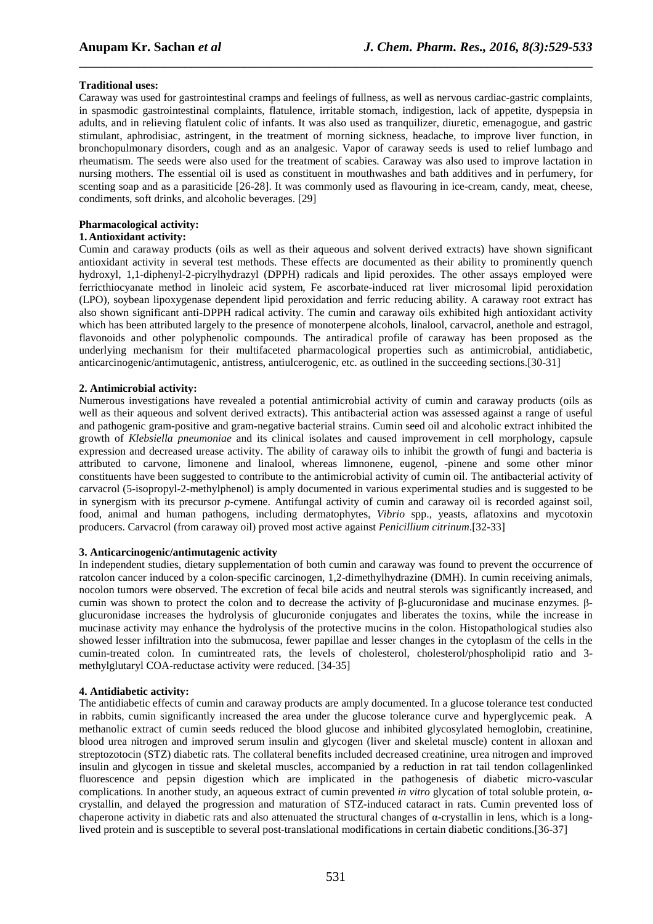# **Traditional uses:**

Caraway was used for gastrointestinal cramps and feelings of fullness, as well as nervous cardiac-gastric complaints, in spasmodic gastrointestinal complaints, flatulence, irritable stomach, indigestion, lack of appetite, dyspepsia in adults, and in relieving flatulent colic of infants. It was also used as tranquilizer, diuretic, emenagogue, and gastric stimulant, aphrodisiac, astringent, in the treatment of morning sickness, headache, to improve liver function, in bronchopulmonary disorders, cough and as an analgesic. Vapor of caraway seeds is used to relief lumbago and rheumatism. The seeds were also used for the treatment of scabies. Caraway was also used to improve lactation in nursing mothers. The essential oil is used as constituent in mouthwashes and bath additives and in perfumery, for scenting soap and as a parasiticide [26-28]. It was commonly used as flavouring in ice-cream, candy, meat, cheese, condiments, soft drinks, and alcoholic beverages. [29]

\_\_\_\_\_\_\_\_\_\_\_\_\_\_\_\_\_\_\_\_\_\_\_\_\_\_\_\_\_\_\_\_\_\_\_\_\_\_\_\_\_\_\_\_\_\_\_\_\_\_\_\_\_\_\_\_\_\_\_\_\_\_\_\_\_\_\_\_\_\_\_\_\_\_\_\_\_\_

# **Pharmacological activity:**

# **1. Antioxidant activity:**

Cumin and caraway products (oils as well as their aqueous and solvent derived extracts) have shown significant antioxidant activity in several test methods. These effects are documented as their ability to prominently quench hydroxyl, 1,1-diphenyl-2-picrylhydrazyl (DPPH) radicals and lipid peroxides. The other assays employed were ferricthiocyanate method in linoleic acid system, Fe ascorbate-induced rat liver microsomal lipid peroxidation (LPO), soybean lipoxygenase dependent lipid peroxidation and ferric reducing ability. A caraway root extract has also shown significant anti-DPPH radical activity. The cumin and caraway oils exhibited high antioxidant activity which has been attributed largely to the presence of monoterpene alcohols, linalool, carvacrol, anethole and estragol, flavonoids and other polyphenolic compounds. The antiradical profile of caraway has been proposed as the underlying mechanism for their multifaceted pharmacological properties such as antimicrobial, antidiabetic, anticarcinogenic/antimutagenic, antistress, antiulcerogenic, etc. as outlined in the succeeding sections.[30-31]

# **2. Antimicrobial activity:**

Numerous investigations have revealed a potential antimicrobial activity of cumin and caraway products (oils as well as their aqueous and solvent derived extracts). This antibacterial action was assessed against a range of useful and pathogenic gram-positive and gram-negative bacterial strains. Cumin seed oil and alcoholic extract inhibited the growth of *Klebsiella pneumoniae* and its clinical isolates and caused improvement in cell morphology, capsule expression and decreased urease activity. The ability of caraway oils to inhibit the growth of fungi and bacteria is attributed to carvone, limonene and linalool, whereas limnonene, eugenol, -pinene and some other minor constituents have been suggested to contribute to the antimicrobial activity of cumin oil. The antibacterial activity of carvacrol (5-isopropyl-2-methylphenol) is amply documented in various experimental studies and is suggested to be in synergism with its precursor *p*-cymene. Antifungal activity of cumin and caraway oil is recorded against soil, food, animal and human pathogens, including dermatophytes, *Vibrio* spp., yeasts, aflatoxins and mycotoxin producers. Carvacrol (from caraway oil) proved most active against *Penicillium citrinum*.[32-33]

# **3. Anticarcinogenic/antimutagenic activity**

In independent studies, dietary supplementation of both cumin and caraway was found to prevent the occurrence of ratcolon cancer induced by a colon-specific carcinogen, 1,2-dimethylhydrazine (DMH). In cumin receiving animals, nocolon tumors were observed. The excretion of fecal bile acids and neutral sterols was significantly increased, and cumin was shown to protect the colon and to decrease the activity of β-glucuronidase and mucinase enzymes. βglucuronidase increases the hydrolysis of glucuronide conjugates and liberates the toxins, while the increase in mucinase activity may enhance the hydrolysis of the protective mucins in the colon. Histopathological studies also showed lesser infiltration into the submucosa, fewer papillae and lesser changes in the cytoplasm of the cells in the cumin-treated colon. In cumintreated rats, the levels of cholesterol, cholesterol/phospholipid ratio and 3 methylglutaryl COA-reductase activity were reduced. [34-35]

# **4. Antidiabetic activity:**

The antidiabetic effects of cumin and caraway products are amply documented. In a glucose tolerance test conducted in rabbits, cumin significantly increased the area under the glucose tolerance curve and hyperglycemic peak. A methanolic extract of cumin seeds reduced the blood glucose and inhibited glycosylated hemoglobin, creatinine, blood urea nitrogen and improved serum insulin and glycogen (liver and skeletal muscle) content in alloxan and streptozotocin (STZ) diabetic rats. The collateral benefits included decreased creatinine, urea nitrogen and improved insulin and glycogen in tissue and skeletal muscles, accompanied by a reduction in rat tail tendon collagenlinked fluorescence and pepsin digestion which are implicated in the pathogenesis of diabetic micro-vascular complications. In another study, an aqueous extract of cumin prevented *in vitro* glycation of total soluble protein, αcrystallin, and delayed the progression and maturation of STZ-induced cataract in rats. Cumin prevented loss of chaperone activity in diabetic rats and also attenuated the structural changes of α-crystallin in lens, which is a longlived protein and is susceptible to several post-translational modifications in certain diabetic conditions.[36-37]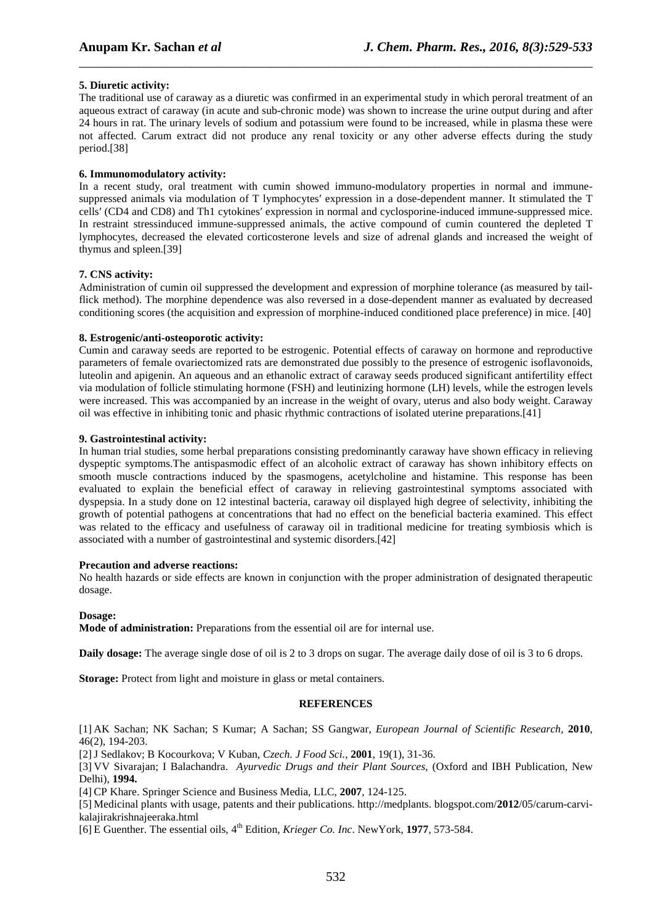# **5. Diuretic activity:**

The traditional use of caraway as a diuretic was confirmed in an experimental study in which peroral treatment of an aqueous extract of caraway (in acute and sub-chronic mode) was shown to increase the urine output during and after 24 hours in rat. The urinary levels of sodium and potassium were found to be increased, while in plasma these were not affected. Carum extract did not produce any renal toxicity or any other adverse effects during the study period.[38]

\_\_\_\_\_\_\_\_\_\_\_\_\_\_\_\_\_\_\_\_\_\_\_\_\_\_\_\_\_\_\_\_\_\_\_\_\_\_\_\_\_\_\_\_\_\_\_\_\_\_\_\_\_\_\_\_\_\_\_\_\_\_\_\_\_\_\_\_\_\_\_\_\_\_\_\_\_\_

# **6. Immunomodulatory activity:**

In a recent study, oral treatment with cumin showed immuno-modulatory properties in normal and immunesuppressed animals via modulation of T lymphocytes′ expression in a dose-dependent manner. It stimulated the T cells′ (CD4 and CD8) and Th1 cytokines′ expression in normal and cyclosporine-induced immune-suppressed mice. In restraint stressinduced immune-suppressed animals, the active compound of cumin countered the depleted T lymphocytes, decreased the elevated corticosterone levels and size of adrenal glands and increased the weight of thymus and spleen.[39]

# **7. CNS activity:**

Administration of cumin oil suppressed the development and expression of morphine tolerance (as measured by tailflick method). The morphine dependence was also reversed in a dose-dependent manner as evaluated by decreased conditioning scores (the acquisition and expression of morphine-induced conditioned place preference) in mice. [40]

#### **8. Estrogenic/anti-osteoporotic activity:**

Cumin and caraway seeds are reported to be estrogenic. Potential effects of caraway on hormone and reproductive parameters of female ovariectomized rats are demonstrated due possibly to the presence of estrogenic isoflavonoids, luteolin and apigenin. An aqueous and an ethanolic extract of caraway seeds produced significant antifertility effect via modulation of follicle stimulating hormone (FSH) and leutinizing hormone (LH) levels, while the estrogen levels were increased. This was accompanied by an increase in the weight of ovary, uterus and also body weight. Caraway oil was effective in inhibiting tonic and phasic rhythmic contractions of isolated uterine preparations.[41]

#### **9. Gastrointestinal activity:**

In human trial studies, some herbal preparations consisting predominantly caraway have shown efficacy in relieving dyspeptic symptoms.The antispasmodic effect of an alcoholic extract of caraway has shown inhibitory effects on smooth muscle contractions induced by the spasmogens, acetylcholine and histamine. This response has been evaluated to explain the beneficial effect of caraway in relieving gastrointestinal symptoms associated with dyspepsia. In a study done on 12 intestinal bacteria, caraway oil displayed high degree of selectivity, inhibiting the growth of potential pathogens at concentrations that had no effect on the beneficial bacteria examined. This effect was related to the efficacy and usefulness of caraway oil in traditional medicine for treating symbiosis which is associated with a number of gastrointestinal and systemic disorders.[42]

#### **Precaution and adverse reactions:**

No health hazards or side effects are known in conjunction with the proper administration of designated therapeutic dosage.

# **Dosage:**

**Mode of administration:** Preparations from the essential oil are for internal use.

**Daily dosage:** The average single dose of oil is 2 to 3 drops on sugar. The average daily dose of oil is 3 to 6 drops.

**Storage:** Protect from light and moisture in glass or metal containers.

#### **REFERENCES**

[1] AK Sachan; NK Sachan; S Kumar; A Sachan; SS Gangwar, *European Journal of Scientific Research,* **2010**, 46(2), 194-203.

[2]J Sedlakov; B Kocourkova; V Kuban, *Czech. J Food Sci.*, **2001**, 19(1), 31-36.

[3] VV Sivarajan; I Balachandra. *Ayurvedic Drugs and their Plant Sources*, (Oxford and IBH Publication, New Delhi), **1994.**

[4] CP Khare. Springer Science and Business Media, LLC, **2007**, 124-125.

[5] Medicinal plants with usage, patents and their publications. http://medplants. blogspot.com/**2012**/05/carum-carvikalajirakrishnajeeraka.html

[6] E Guenther. The essential oils, 4<sup>th</sup> Edition, *Krieger Co. Inc.* NewYork, 1977, 573-584.